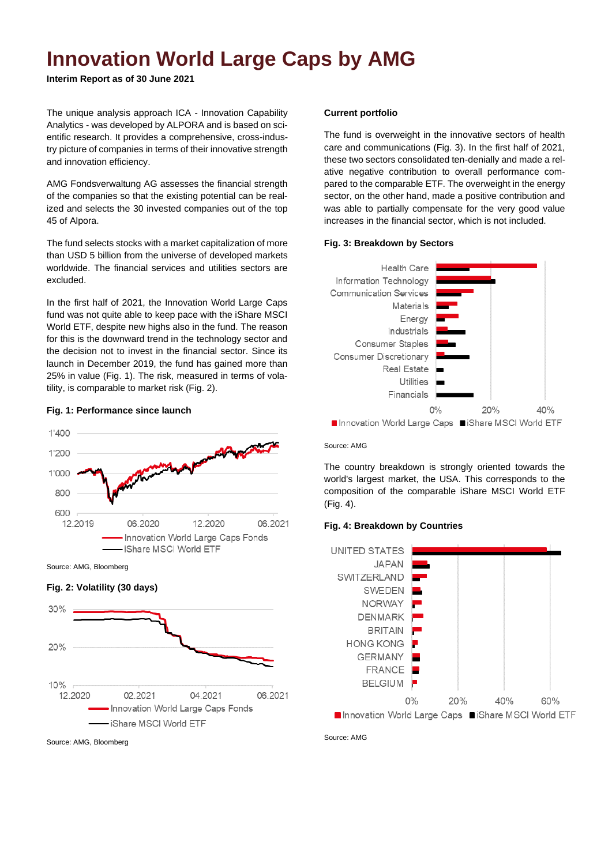## **Innovation World Large Caps by AMG**

**Interim Report as of 30 June 2021**

The unique analysis approach ICA - Innovation Capability Analytics - was developed by ALPORA and is based on scientific research. It provides a comprehensive, cross-industry picture of companies in terms of their innovative strength and innovation efficiency.

AMG Fondsverwaltung AG assesses the financial strength of the companies so that the existing potential can be realized and selects the 30 invested companies out of the top 45 of Alpora.

The fund selects stocks with a market capitalization of more than USD 5 billion from the universe of developed markets worldwide. The financial services and utilities sectors are excluded.

In the first half of 2021, the Innovation World Large Caps fund was not quite able to keep pace with the iShare MSCI World ETF, despite new highs also in the fund. The reason for this is the downward trend in the technology sector and the decision not to invest in the financial sector. Since its launch in December 2019, the fund has gained more than 25% in value (Fig. 1). The risk, measured in terms of volatility, is comparable to market risk (Fig. 2).



# **Fig. 1: Performance since launch**

### Source: AMG, Bloomberg





#### **Current portfolio**

The fund is overweight in the innovative sectors of health care and communications (Fig. 3). In the first half of 2021, these two sectors consolidated ten-denially and made a relative negative contribution to overall performance compared to the comparable ETF. The overweight in the energy sector, on the other hand, made a positive contribution and was able to partially compensate for the very good value increases in the financial sector, which is not included.

#### **Fig. 3: Breakdown by Sectors**



■ Innovation World Large Caps ■iShare MSCI World ETF

#### Source: AMG

The country breakdown is strongly oriented towards the world's largest market, the USA. This corresponds to the composition of the comparable iShare MSCI World ETF (Fig. 4).

#### **Fig. 4: Breakdown by Countries**



Source: AMG

Source: AMG, Bloomberg